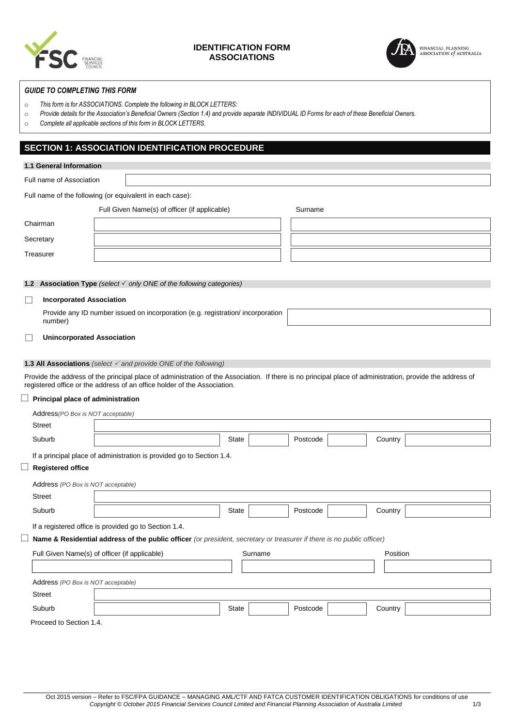

## **IDENTIFICATION FORM ASSOCIATIONS**



### *GUIDE TO COMPLETING THIS FORM*

- o *This form is for ASSOCIATIONS. Complete the following in BLOCK LETTERS:*
- o *Provide details for the Association's Beneficial Owners (Section 1.4) and provide separate INDIVIDUAL ID Forms for each of these Beneficial Owners.*
- o *Complete all applicable sections of this form in BLOCK LETTERS.*

# **SECTION 1: ASSOCIATION IDENTIFICATION PROCEDURE**

| 1.1 General Information                                  |                                                                                                                       |  |  |                                                                                        |         |  |          |          |         |                                                                                                                                                           |
|----------------------------------------------------------|-----------------------------------------------------------------------------------------------------------------------|--|--|----------------------------------------------------------------------------------------|---------|--|----------|----------|---------|-----------------------------------------------------------------------------------------------------------------------------------------------------------|
| Full name of Association                                 |                                                                                                                       |  |  |                                                                                        |         |  |          |          |         |                                                                                                                                                           |
| Full name of the following (or equivalent in each case): |                                                                                                                       |  |  |                                                                                        |         |  |          |          |         |                                                                                                                                                           |
| Full Given Name(s) of officer (if applicable)<br>Surname |                                                                                                                       |  |  |                                                                                        |         |  |          |          |         |                                                                                                                                                           |
| Chairman                                                 |                                                                                                                       |  |  |                                                                                        |         |  |          |          |         |                                                                                                                                                           |
| Secretary                                                |                                                                                                                       |  |  |                                                                                        |         |  |          |          |         |                                                                                                                                                           |
| Treasurer                                                |                                                                                                                       |  |  |                                                                                        |         |  |          |          |         |                                                                                                                                                           |
|                                                          |                                                                                                                       |  |  |                                                                                        |         |  |          |          |         |                                                                                                                                                           |
|                                                          |                                                                                                                       |  |  | <b>1.2 Association Type</b> (select $\checkmark$ only ONE of the following categories) |         |  |          |          |         |                                                                                                                                                           |
|                                                          | <b>Incorporated Association</b>                                                                                       |  |  |                                                                                        |         |  |          |          |         |                                                                                                                                                           |
|                                                          | Provide any ID number issued on incorporation (e.g. registration/incorporation<br>number)                             |  |  |                                                                                        |         |  |          |          |         |                                                                                                                                                           |
|                                                          | <b>Unincorporated Association</b>                                                                                     |  |  |                                                                                        |         |  |          |          |         |                                                                                                                                                           |
|                                                          |                                                                                                                       |  |  | <b>1.3 All Associations</b> (select $\checkmark$ and provide ONE of the following)     |         |  |          |          |         |                                                                                                                                                           |
|                                                          |                                                                                                                       |  |  | registered office or the address of an office holder of the Association.               |         |  |          |          |         | Provide the address of the principal place of administration of the Association. If there is no principal place of administration, provide the address of |
|                                                          | Principal place of administration                                                                                     |  |  |                                                                                        |         |  |          |          |         |                                                                                                                                                           |
|                                                          | Address (PO Box is NOT acceptable)                                                                                    |  |  |                                                                                        |         |  |          |          |         |                                                                                                                                                           |
| <b>Street</b>                                            |                                                                                                                       |  |  |                                                                                        |         |  |          |          |         |                                                                                                                                                           |
|                                                          | Suburb                                                                                                                |  |  |                                                                                        | State   |  | Postcode |          | Country |                                                                                                                                                           |
|                                                          |                                                                                                                       |  |  | If a principal place of administration is provided go to Section 1.4.                  |         |  |          |          |         |                                                                                                                                                           |
|                                                          | <b>Registered office</b>                                                                                              |  |  |                                                                                        |         |  |          |          |         |                                                                                                                                                           |
|                                                          | Address (PO Box is NOT acceptable)                                                                                    |  |  |                                                                                        |         |  |          |          |         |                                                                                                                                                           |
| <b>Street</b>                                            |                                                                                                                       |  |  |                                                                                        |         |  |          |          |         |                                                                                                                                                           |
|                                                          | Suburb                                                                                                                |  |  |                                                                                        | State   |  | Postcode |          | Country |                                                                                                                                                           |
|                                                          | If a registered office is provided go to Section 1.4.                                                                 |  |  |                                                                                        |         |  |          |          |         |                                                                                                                                                           |
|                                                          | Name & Residential address of the public officer (or president, secretary or treasurer if there is no public officer) |  |  |                                                                                        |         |  |          |          |         |                                                                                                                                                           |
| Full Given Name(s) of officer (if applicable)            |                                                                                                                       |  |  |                                                                                        | Surname |  |          | Position |         |                                                                                                                                                           |
|                                                          |                                                                                                                       |  |  |                                                                                        |         |  |          |          |         |                                                                                                                                                           |
|                                                          | Address (PO Box is NOT acceptable)                                                                                    |  |  |                                                                                        |         |  |          |          |         |                                                                                                                                                           |
| <b>Street</b>                                            |                                                                                                                       |  |  |                                                                                        |         |  |          |          |         |                                                                                                                                                           |
|                                                          | Suburb                                                                                                                |  |  |                                                                                        | State   |  | Postcode |          | Country |                                                                                                                                                           |
|                                                          | Proceed to Section 1.4.                                                                                               |  |  |                                                                                        |         |  |          |          |         |                                                                                                                                                           |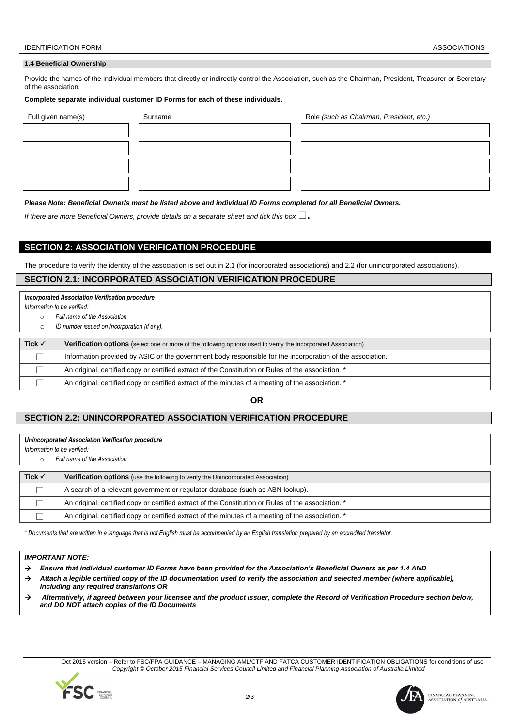#### **1.4 Beneficial Ownership**

Provide the names of the individual members that directly or indirectly control the Association, such as the Chairman, President, Treasurer or Secretary of the association.

### **Complete separate individual customer ID Forms for each of these individuals.**

| Full given name(s) | Surname | Role (such as Chairman, President, etc.) |
|--------------------|---------|------------------------------------------|
|                    |         |                                          |
|                    |         |                                          |
|                    |         |                                          |
|                    |         |                                          |
|                    |         |                                          |

*Please Note: Beneficial Owner/s must be listed above and individual ID Forms completed for all Beneficial Owners.*

*If there are more Beneficial Owners, provide details on a separate sheet and tick this box*  $\Box$ .

# **SECTION 2: ASSOCIATION VERIFICATION PROCEDURE**

The procedure to verify the identity of the association is set out in 2.1 (for incorporated associations) and 2.2 (for unincorporated associations).

## **SECTION 2.1: INCORPORATED ASSOCIATION VERIFICATION PROCEDURE**

#### *Incorporated Association Verification procedure*

*Information to be verified:*

- o *Full name of the Association*
- o *ID number issued on Incorporation (if any).*

| Tick $\checkmark$ | Verification options (select one or more of the following options used to verify the Incorporated Association) |
|-------------------|----------------------------------------------------------------------------------------------------------------|
|                   | Information provided by ASIC or the government body responsible for the incorporation of the association.      |
|                   | An original, certified copy or certified extract of the Constitution or Rules of the association. *            |
|                   | An original, certified copy or certified extract of the minutes of a meeting of the association. *             |

### **OR**

## **SECTION 2.2: UNINCORPORATED ASSOCIATION VERIFICATION PROCEDURE**

#### *Unincorporated Association Verification procedure*

*Information to be verified:*

o *Full name of the Association*

| Tick $\checkmark$ | <b>Verification options</b> (use the following to verify the Unincorporated Association)            |
|-------------------|-----------------------------------------------------------------------------------------------------|
|                   | A search of a relevant government or regulator database (such as ABN lookup).                       |
|                   | An original, certified copy or certified extract of the Constitution or Rules of the association. * |
|                   | An original, certified copy or certified extract of the minutes of a meeting of the association. *  |

*\* Documents that are written in a language that is not English must be accompanied by an English translation prepared by an accredited translator.*

#### *IMPORTANT NOTE:*

- *Ensure that individual customer ID Forms have been provided for the Association's Beneficial Owners as per 1.4 AND*
- *Attach a legible certified copy of the ID documentation used to verify the association and selected member (where applicable), including any required translations OR*
- *Alternatively, if agreed between your licensee and the product issuer, complete the Record of Verification Procedure section below, and DO NOT attach copies of the ID Documents*

Oct 2015 version – Refer to FSC/FPA GUIDANCE – MANAGING AML/CTF AND FATCA CUSTOMER IDENTIFICATION OBLIGATIONS for conditions of use  *Copyright © October 2015 Financial Services Council Limited and Financial Planning Association of Australia Limited*